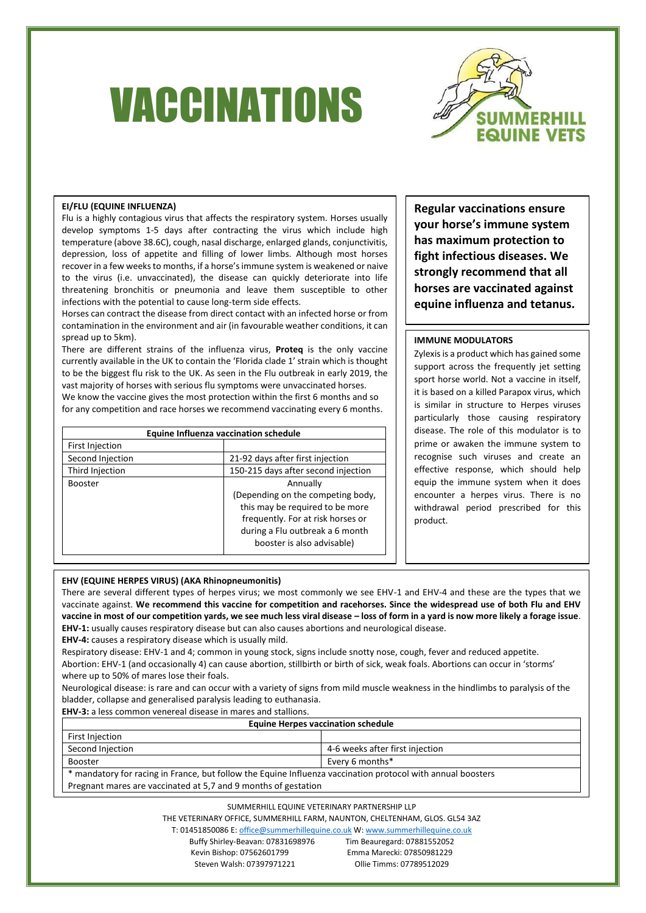# VACCINATIONS



## **EI/FLU (EQUINE INFLUENZA)**

Flu is a highly contagious virus that affects the respiratory system. Horses usually develop symptoms 1-5 days after contracting the virus which include high temperature (above 38.6C), cough, nasal discharge, enlarged glands, conjunctivitis, depression, loss of appetite and filling of lower limbs. Although most horses recover in a few weeks to months, if a horse's immune system is weakened or naive to the virus (i.e. unvaccinated), the disease can quickly deteriorate into life threatening bronchitis or pneumonia and leave them susceptible to other infections with the potential to cause long-term side effects.

Horses can contract the disease from direct contact with an infected horse or from contamination in the environment and air (in favourable weather conditions, it can spread up to 5km).

There are different strains of the influenza virus, **Proteq** is the only vaccine currently available in the UK to contain the 'Florida clade 1' strain which is thought to be the biggest flu risk to the UK. As seen in the Flu outbreak in early 2019, the vast majority of horses with serious flu symptoms were unvaccinated horses. We know the vaccine gives the most protection within the first 6 months and so for any competition and race horses we recommend vaccinating every 6 months.

| Equine Influenza vaccination schedule |                                     |  |
|---------------------------------------|-------------------------------------|--|
| First Injection                       |                                     |  |
| Second Injection                      | 21-92 days after first injection    |  |
| Third Injection                       | 150-215 days after second injection |  |
| <b>Booster</b>                        | Annually                            |  |
|                                       | (Depending on the competing body,   |  |
|                                       | this may be required to be more     |  |
|                                       | frequently. For at risk horses or   |  |
|                                       | during a Flu outbreak a 6 month     |  |
|                                       | booster is also advisable)          |  |

**Regular vaccinations ensure your horse's immune system has maximum protection to fight infectious diseases. We strongly recommend that all horses are vaccinated against equine influenza and tetanus.**

# **IMMUNE MODULATORS**

Zylexis is a product which has gained some support across the frequently jet setting sport horse world. Not a vaccine in itself, it is based on a killed Parapox virus, which is similar in structure to Herpes viruses particularly those causing respiratory disease. The role of this modulator is to prime or awaken the immune system to recognise such viruses and create an effective response, which should help equip the immune system when it does encounter a herpes virus. There is no withdrawal period prescribed for this product.

## **EHV (EQUINE HERPES VIRUS) (AKA Rhinopneumonitis)**

There are several different types of herpes virus; we most commonly we see EHV-1 and EHV-4 and these are the types that we vaccinate against. **We recommend this vaccine for competition and racehorses. Since the widespread use of both Flu and EHV vaccine in most of our competition yards, we see much less viral disease – loss of form in a yard is now more likely a forage issue**. **EHV-1:** usually causes respiratory disease but can also causes abortions and neurological disease.

**EHV-4:** causes a respiratory disease which is usually mild.

Respiratory disease: EHV-1 and 4; common in young stock, signs include snotty nose, cough, fever and reduced appetite. Abortion: EHV-1 (and occasionally 4) can cause abortion, stillbirth or birth of sick, weak foals. Abortions can occur in 'storms' where up to 50% of mares lose their foals.

Neurological disease: is rare and can occur with a variety of signs from mild muscle weakness in the hindlimbs to paralysis of the bladder, collapse and generalised paralysis leading to euthanasia.

**EHV-3:** a less common venereal disease in mares and stallions.

#### **Equine Herpes vaccination schedule**

| First Injection                                                                                             |                                 |  |
|-------------------------------------------------------------------------------------------------------------|---------------------------------|--|
| Second Injection                                                                                            | 4-6 weeks after first injection |  |
| <b>Booster</b>                                                                                              | Every 6 months*                 |  |
| * mandatory for racing in France, but follow the Equine Influenza vaccination protocol with annual boosters |                                 |  |
| Pregnant mares are vaccinated at 5,7 and 9 months of gestation                                              |                                 |  |

SUMMERHILL EQUINE VETERINARY PARTNERSHIP LLP

THE VETERINARY OFFICE, SUMMERHILL FARM, NAUNTON, CHELTENHAM, GLOS. GL54 3AZ

T: 01451850086 E[: office@summerhillequine.co.uk](mailto:office@summerhillequine.co.uk) W[: www.summerhillequine.co.uk](http://www.summerhillequine.co.uk/)

Buffy Shirley-Beavan: 07831698976 Tim Beauregard: 07881552052 Kevin Bishop: 07562601799 Emma Marecki: 07850981229 Steven Walsh: 07397971221 Ollie Timms: 07789512029